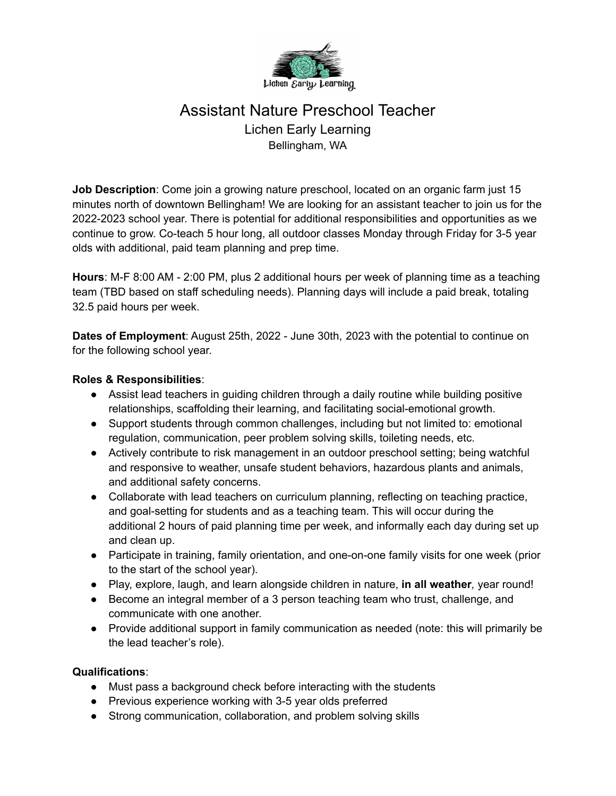

## Assistant Nature Preschool Teacher Lichen Early Learning Bellingham, WA

**Job Description**: Come join a growing nature preschool, located on an organic farm just 15 minutes north of downtown Bellingham! We are looking for an assistant teacher to join us for the 2022-2023 school year. There is potential for additional responsibilities and opportunities as we continue to grow. Co-teach 5 hour long, all outdoor classes Monday through Friday for 3-5 year olds with additional, paid team planning and prep time.

**Hours**: M-F 8:00 AM - 2:00 PM, plus 2 additional hours per week of planning time as a teaching team (TBD based on staff scheduling needs). Planning days will include a paid break, totaling 32.5 paid hours per week.

**Dates of Employment**: August 25th, 2022 - June 30th, 2023 with the potential to continue on for the following school year.

## **Roles & Responsibilities**:

- Assist lead teachers in guiding children through a daily routine while building positive relationships, scaffolding their learning, and facilitating social-emotional growth.
- Support students through common challenges, including but not limited to: emotional regulation, communication, peer problem solving skills, toileting needs, etc.
- Actively contribute to risk management in an outdoor preschool setting; being watchful and responsive to weather, unsafe student behaviors, hazardous plants and animals, and additional safety concerns.
- Collaborate with lead teachers on curriculum planning, reflecting on teaching practice, and goal-setting for students and as a teaching team. This will occur during the additional 2 hours of paid planning time per week, and informally each day during set up and clean up.
- Participate in training, family orientation, and one-on-one family visits for one week (prior to the start of the school year).
- Play, explore, laugh, and learn alongside children in nature, **in all weather***,* year round!
- Become an integral member of a 3 person teaching team who trust, challenge, and communicate with one another.
- Provide additional support in family communication as needed (note: this will primarily be the lead teacher's role).

## **Qualifications**:

- Must pass a background check before interacting with the students
- Previous experience working with 3-5 year olds preferred
- Strong communication, collaboration, and problem solving skills